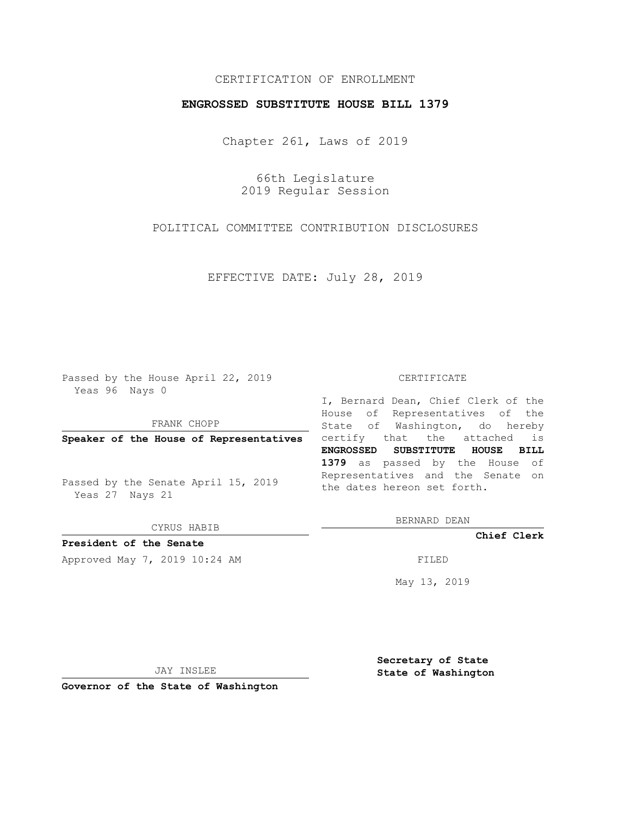## CERTIFICATION OF ENROLLMENT

## **ENGROSSED SUBSTITUTE HOUSE BILL 1379**

Chapter 261, Laws of 2019

66th Legislature 2019 Regular Session

POLITICAL COMMITTEE CONTRIBUTION DISCLOSURES

EFFECTIVE DATE: July 28, 2019

Passed by the House April 22, 2019 Yeas 96 Nays 0

FRANK CHOPP

Passed by the Senate April 15, 2019 Yeas 27 Nays 21

CYRUS HABIB

**President of the Senate**

Approved May 7, 2019 10:24 AM FILED

#### CERTIFICATE

**Speaker of the House of Representatives** certify that the attached is I, Bernard Dean, Chief Clerk of the House of Representatives of the State of Washington, do hereby **ENGROSSED SUBSTITUTE HOUSE BILL 1379** as passed by the House of Representatives and the Senate on the dates hereon set forth.

BERNARD DEAN

**Chief Clerk**

May 13, 2019

JAY INSLEE

**Governor of the State of Washington**

**Secretary of State State of Washington**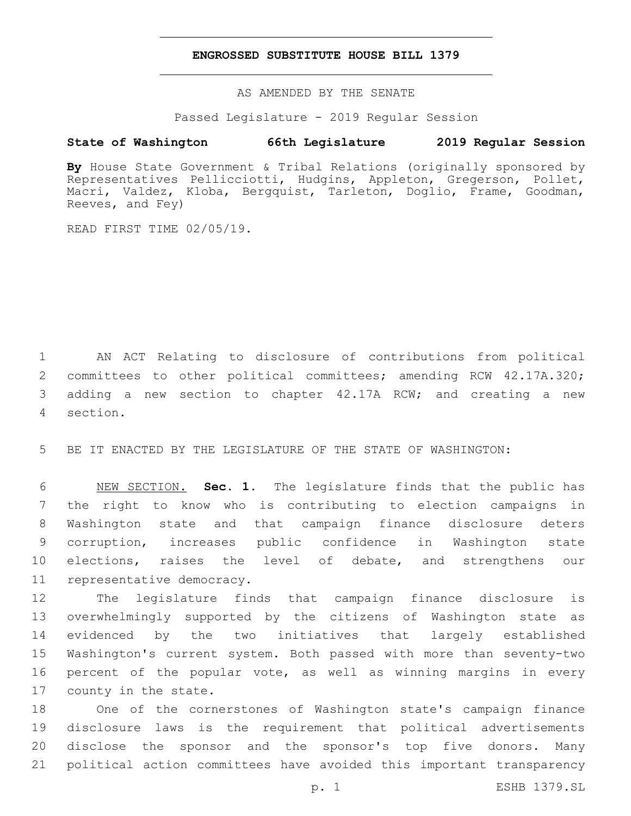### **ENGROSSED SUBSTITUTE HOUSE BILL 1379**

AS AMENDED BY THE SENATE

Passed Legislature - 2019 Regular Session

# **State of Washington 66th Legislature 2019 Regular Session**

By House State Government & Tribal Relations (originally sponsored by Representatives Pellicciotti, Hudgins, Appleton, Gregerson, Pollet, Macri, Valdez, Kloba, Bergquist, Tarleton, Doglio, Frame, Goodman, Reeves, and Fey)

READ FIRST TIME 02/05/19.

 AN ACT Relating to disclosure of contributions from political committees to other political committees; amending RCW 42.17A.320; adding a new section to chapter 42.17A RCW; and creating a new section.4

5 BE IT ENACTED BY THE LEGISLATURE OF THE STATE OF WASHINGTON:

 NEW SECTION. **Sec. 1.** The legislature finds that the public has the right to know who is contributing to election campaigns in Washington state and that campaign finance disclosure deters corruption, increases public confidence in Washington state 10 elections, raises the level of debate, and strengthens our representative democracy.

 The legislature finds that campaign finance disclosure is overwhelmingly supported by the citizens of Washington state as evidenced by the two initiatives that largely established Washington's current system. Both passed with more than seventy-two percent of the popular vote, as well as winning margins in every 17 county in the state.

 One of the cornerstones of Washington state's campaign finance disclosure laws is the requirement that political advertisements disclose the sponsor and the sponsor's top five donors. Many political action committees have avoided this important transparency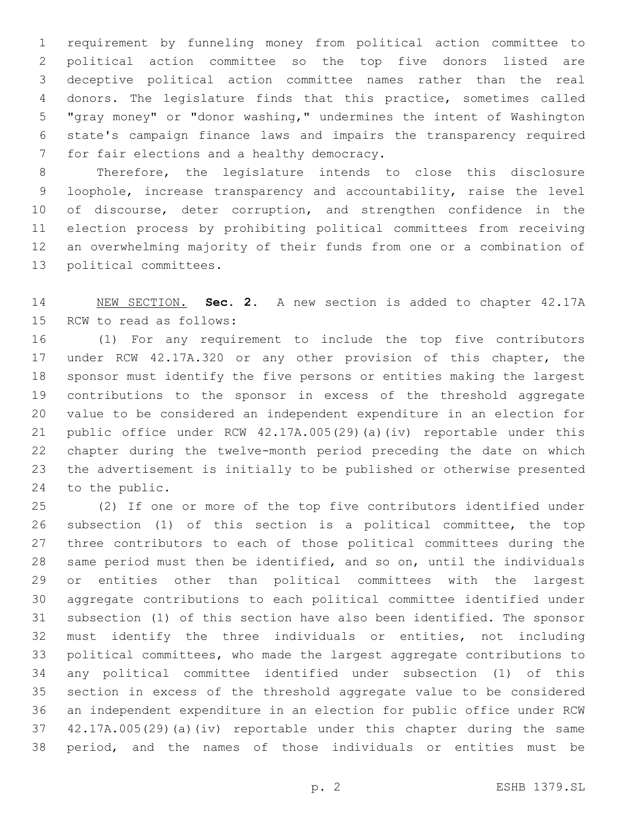requirement by funneling money from political action committee to political action committee so the top five donors listed are deceptive political action committee names rather than the real donors. The legislature finds that this practice, sometimes called "gray money" or "donor washing," undermines the intent of Washington state's campaign finance laws and impairs the transparency required 7 for fair elections and a healthy democracy.

 Therefore, the legislature intends to close this disclosure loophole, increase transparency and accountability, raise the level 10 of discourse, deter corruption, and strengthen confidence in the election process by prohibiting political committees from receiving an overwhelming majority of their funds from one or a combination of 13 political committees.

 NEW SECTION. **Sec. 2.** A new section is added to chapter 42.17A 15 RCW to read as follows:

 (1) For any requirement to include the top five contributors under RCW 42.17A.320 or any other provision of this chapter, the sponsor must identify the five persons or entities making the largest contributions to the sponsor in excess of the threshold aggregate value to be considered an independent expenditure in an election for public office under RCW 42.17A.005(29)(a)(iv) reportable under this chapter during the twelve-month period preceding the date on which the advertisement is initially to be published or otherwise presented 24 to the public.

 (2) If one or more of the top five contributors identified under subsection (1) of this section is a political committee, the top three contributors to each of those political committees during the same period must then be identified, and so on, until the individuals or entities other than political committees with the largest aggregate contributions to each political committee identified under subsection (1) of this section have also been identified. The sponsor must identify the three individuals or entities, not including political committees, who made the largest aggregate contributions to any political committee identified under subsection (1) of this section in excess of the threshold aggregate value to be considered an independent expenditure in an election for public office under RCW 42.17A.005(29)(a)(iv) reportable under this chapter during the same period, and the names of those individuals or entities must be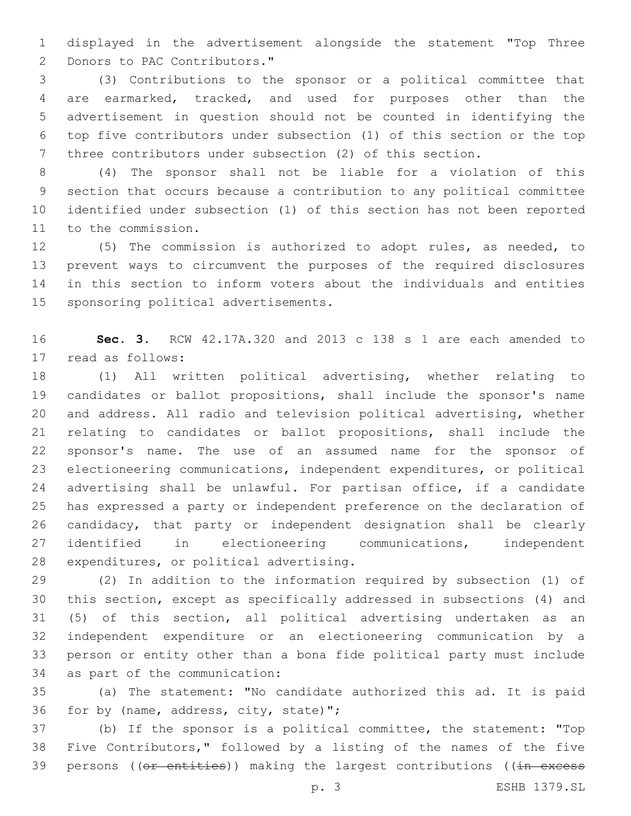displayed in the advertisement alongside the statement "Top Three 2 Donors to PAC Contributors."

 (3) Contributions to the sponsor or a political committee that are earmarked, tracked, and used for purposes other than the advertisement in question should not be counted in identifying the top five contributors under subsection (1) of this section or the top three contributors under subsection (2) of this section.

 (4) The sponsor shall not be liable for a violation of this section that occurs because a contribution to any political committee identified under subsection (1) of this section has not been reported 11 to the commission.

 (5) The commission is authorized to adopt rules, as needed, to prevent ways to circumvent the purposes of the required disclosures in this section to inform voters about the individuals and entities 15 sponsoring political advertisements.

 **Sec. 3.** RCW 42.17A.320 and 2013 c 138 s 1 are each amended to 17 read as follows:

 (1) All written political advertising, whether relating to candidates or ballot propositions, shall include the sponsor's name and address. All radio and television political advertising, whether relating to candidates or ballot propositions, shall include the sponsor's name. The use of an assumed name for the sponsor of electioneering communications, independent expenditures, or political advertising shall be unlawful. For partisan office, if a candidate has expressed a party or independent preference on the declaration of candidacy, that party or independent designation shall be clearly identified in electioneering communications, independent 28 expenditures, or political advertising.

 (2) In addition to the information required by subsection (1) of this section, except as specifically addressed in subsections (4) and (5) of this section, all political advertising undertaken as an independent expenditure or an electioneering communication by a person or entity other than a bona fide political party must include 34 as part of the communication:

 (a) The statement: "No candidate authorized this ad. It is paid 36 for by (name, address, city, state)";

 (b) If the sponsor is a political committee, the statement: "Top Five Contributors," followed by a listing of the names of the five 39 persons ((or entities)) making the largest contributions ((in excess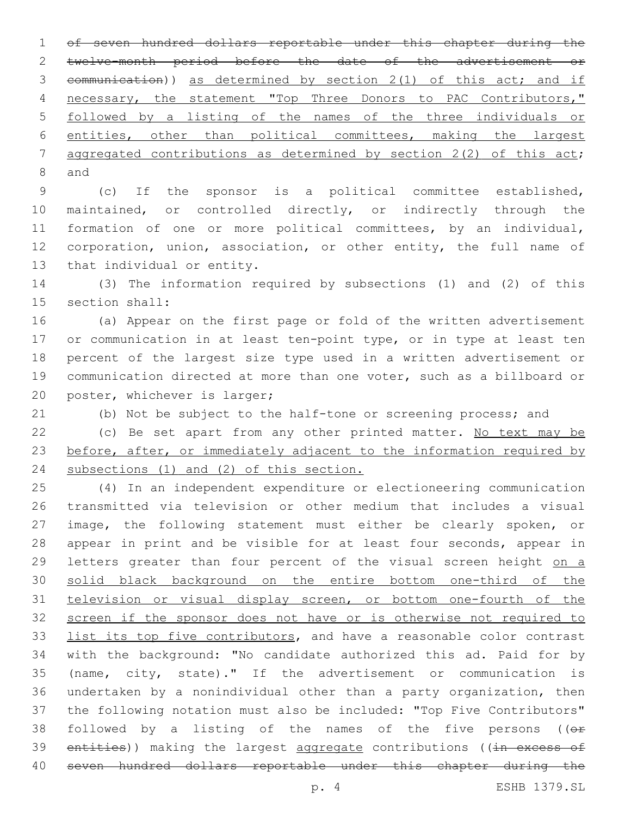of seven hundred dollars reportable under this chapter during the twelve-month period before the date of the advertisement or communication)) as determined by section 2(1) of this act; and if necessary, the statement "Top Three Donors to PAC Contributors," followed by a listing of the names of the three individuals or entities, other than political committees, making the largest 7 aggregated contributions as determined by section 2(2) of this act; 8 and

 (c) If the sponsor is a political committee established, maintained, or controlled directly, or indirectly through the formation of one or more political committees, by an individual, corporation, union, association, or other entity, the full name of 13 that individual or entity.

 (3) The information required by subsections (1) and (2) of this 15 section shall:

 (a) Appear on the first page or fold of the written advertisement or communication in at least ten-point type, or in type at least ten percent of the largest size type used in a written advertisement or communication directed at more than one voter, such as a billboard or 20 poster, whichever is larger;

(b) Not be subject to the half-tone or screening process; and

22 (c) Be set apart from any other printed matter. No text may be 23 before, after, or immediately adjacent to the information required by 24 subsections (1) and (2) of this section.

 (4) In an independent expenditure or electioneering communication transmitted via television or other medium that includes a visual 27 image, the following statement must either be clearly spoken, or appear in print and be visible for at least four seconds, appear in 29 letters greater than four percent of the visual screen height on a solid black background on the entire bottom one-third of the television or visual display screen, or bottom one-fourth of the screen if the sponsor does not have or is otherwise not required to 33 list its top five contributors, and have a reasonable color contrast with the background: "No candidate authorized this ad. Paid for by (name, city, state)." If the advertisement or communication is undertaken by a nonindividual other than a party organization, then the following notation must also be included: "Top Five Contributors" 38 followed by a listing of the names of the five persons ( $(e<sup>F</sup>)$ 39 entities)) making the largest aggregate contributions ((in excess of seven hundred dollars reportable under this chapter during the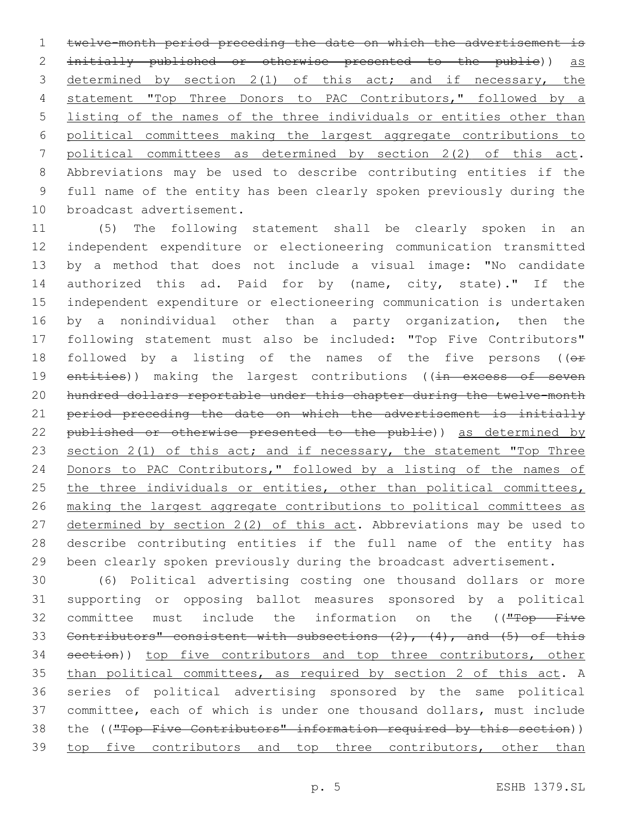twelve-month period preceding the date on which the advertisement is 2 initially published or otherwise presented to the public)) as 3 determined by section 2(1) of this act; and if necessary, the statement "Top Three Donors to PAC Contributors," followed by a listing of the names of the three individuals or entities other than political committees making the largest aggregate contributions to political committees as determined by section 2(2) of this act. Abbreviations may be used to describe contributing entities if the full name of the entity has been clearly spoken previously during the 10 broadcast advertisement.

11 (5) The following statement shall be clearly spoken in an 12 independent expenditure or electioneering communication transmitted 13 by a method that does not include a visual image: "No candidate 14 authorized this ad. Paid for by (name, city, state)." If the 15 independent expenditure or electioneering communication is undertaken 16 by a nonindividual other than a party organization, then the 17 following statement must also be included: "Top Five Contributors" 18 followed by a listing of the names of the five persons ( $(e<sub>F</sub>)$ 19 entities)) making the largest contributions ((in excess of seven 20 hundred dollars reportable under this chapter during the twelve-month 21 period preceding the date on which the advertisement is initially 22 published or otherwise presented to the publie)) as determined by 23 section 2(1) of this act; and if necessary, the statement "Top Three 24 Donors to PAC Contributors," followed by a listing of the names of 25 the three individuals or entities, other than political committees, 26 making the largest aggregate contributions to political committees as 27 determined by section 2(2) of this act. Abbreviations may be used to 28 describe contributing entities if the full name of the entity has 29 been clearly spoken previously during the broadcast advertisement.

30 (6) Political advertising costing one thousand dollars or more 31 supporting or opposing ballot measures sponsored by a political 32 committee must include the information on the (("Top Five 33 Contributors" consistent with subsections  $(2)$ ,  $(4)$ , and  $(5)$  of this 34 section)) top five contributors and top three contributors, other 35 than political committees, as required by section 2 of this act. A 36 series of political advertising sponsored by the same political 37 committee, each of which is under one thousand dollars, must include 38 the ((<del>"Top Five Contributors" information required by this section</del>)) 39 top five contributors and top three contributors, other than